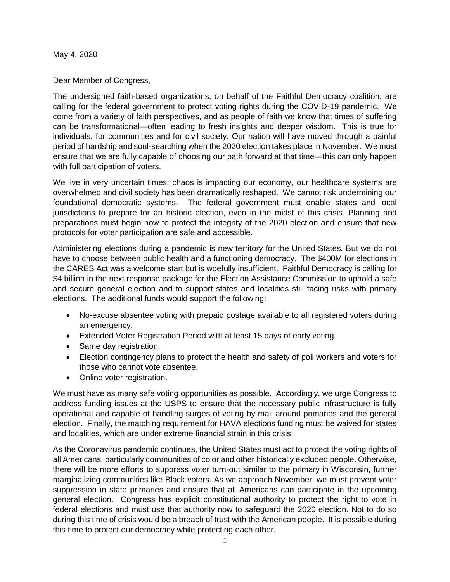May 4, 2020

Dear Member of Congress,

The undersigned faith-based organizations, on behalf of the Faithful Democracy coalition, are calling for the federal government to protect voting rights during the COVID-19 pandemic. We come from a variety of faith perspectives, and as people of faith we know that times of suffering can be transformational—often leading to fresh insights and deeper wisdom. This is true for individuals, for communities and for civil society. Our nation will have moved through a painful period of hardship and soul-searching when the 2020 election takes place in November. We must ensure that we are fully capable of choosing our path forward at that time—this can only happen with full participation of voters.

We live in very uncertain times: chaos is impacting our economy, our healthcare systems are overwhelmed and civil society has been dramatically reshaped. We cannot risk undermining our foundational democratic systems. The federal government must enable states and local jurisdictions to prepare for an historic election, even in the midst of this crisis. Planning and preparations must begin now to protect the integrity of the 2020 election and ensure that new protocols for voter participation are safe and accessible.

Administering elections during a pandemic is new territory for the United States. But we do not have to choose between public health and a functioning democracy. The \$400M for elections in the CARES Act was a welcome start but is woefully insufficient. Faithful Democracy is calling for \$4 billion in the next response package for the Election Assistance Commission to uphold a safe and secure general election and to support states and localities still facing risks with primary elections. The additional funds would support the following:

- No-excuse absentee voting with prepaid postage available to all registered voters during an emergency.
- Extended Voter Registration Period with at least 15 days of early voting
- Same day registration.
- Election contingency plans to protect the health and safety of poll workers and voters for those who cannot vote absentee.
- Online voter registration.

We must have as many safe voting opportunities as possible. Accordingly, we urge Congress to address funding issues at the USPS to ensure that the necessary public infrastructure is fully operational and capable of handling surges of voting by mail around primaries and the general election. Finally, the matching requirement for HAVA elections funding must be waived for states and localities, which are under extreme financial strain in this crisis.

As the Coronavirus pandemic continues, the United States must act to protect the voting rights of all Americans, particularly communities of color and other historically excluded people. Otherwise, there will be more efforts to suppress voter turn-out similar to the primary in Wisconsin, further marginalizing communities like Black voters. As we approach November, we must prevent voter suppression in state primaries and ensure that all Americans can participate in the upcoming general election. Congress has explicit constitutional authority to protect the right to vote in federal elections and must use that authority now to safeguard the 2020 election. Not to do so during this time of crisis would be a breach of trust with the American people. It is possible during this time to protect our democracy while protecting each other.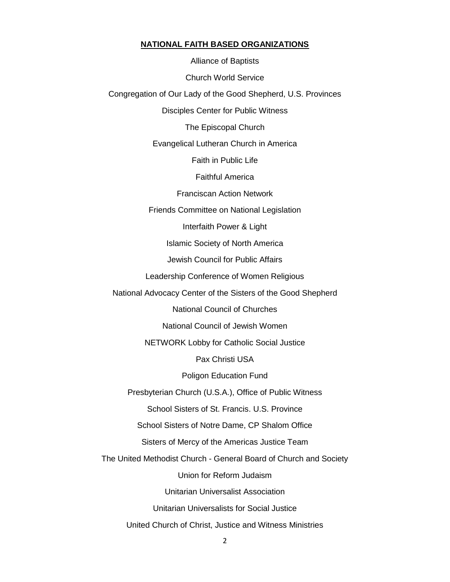## **NATIONAL FAITH BASED ORGANIZATIONS**

Alliance of Baptists Church World Service Congregation of Our Lady of the Good Shepherd, U.S. Provinces Disciples Center for Public Witness The Episcopal Church Evangelical Lutheran Church in America Faith in Public Life Faithful America Franciscan Action Network Friends Committee on National Legislation Interfaith Power & Light Islamic Society of North America Jewish Council for Public Affairs Leadership Conference of Women Religious National Advocacy Center of the Sisters of the Good Shepherd National Council of Churches National Council of Jewish Women NETWORK Lobby for Catholic Social Justice Pax Christi USA Poligon Education Fund Presbyterian Church (U.S.A.), Office of Public Witness School Sisters of St. Francis. U.S. Province School Sisters of Notre Dame, CP Shalom Office Sisters of Mercy of the Americas Justice Team The United Methodist Church - General Board of Church and Society Union for Reform Judaism Unitarian Universalist Association Unitarian Universalists for Social Justice United Church of Christ, Justice and Witness Ministries